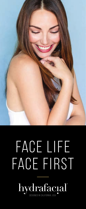

# FACE LIFE FACE FIRST

hydrafacial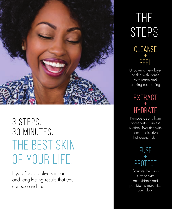

3 steps. 30 minutes. The best skin of your life.

HydraFacial delivers instant and long-lasting results that you can see and feel.

## **CLEANSE**  $+$ PEEL The **STEPS**

Uncover a new layer of skin with gentle exfoliation and relaxing resurfacing.

## **EXTRACT**  $+$ Hydrate

Remove debris from pores with painless suction. Nourish with intense moisturizers that quench skin.

### **FUSE**  $+$ Protect

Saturate the skin's surface with antioxidants and peptides to maximize your glow.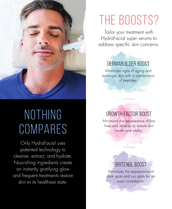

# NOTHING **COMPARES**

Only HydraFacial uses patented technology to cleanse, extract, and hydrate. Nourishing ingredients create an instantly gratifying glow and frequent treatments restore skin to its healthiest state.

# The boosts?

Tailor your treatment with HydraFacial super serums to address specific skin concerns.

### DermaBuilder Boost

Minimizes signs of aging and recharges skin with a combination of peptides.

## growth factor Boost

Minimizes the appearance of fine lines and wrinkles to restore skin health and vitality.

### Britenol Boost

Minimizes the appearance of dark spots and sun spots for an even complexion.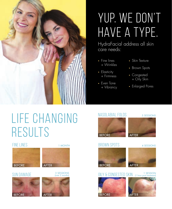

# Yup. We don't have a type.

HydraFacial address all skin care needs:

- **·** Fine lines + Wrinkles
- **·** Elasticity + Firmness
- **·** Even Tone + Vibrancy
- **·** Skin Texture
- **·** Brown Spots
- **·** Congested + Oily Skin
- **·** Enlarged Pores

# Life Changing Results

#### FINE LINES

BEFORE AFTER

3 SESSIONS (over 2 months)







#### BROWN SPOTS 4 SESSIONS



#### OILY & CONGESTED SKIN (1 hour post treatment)